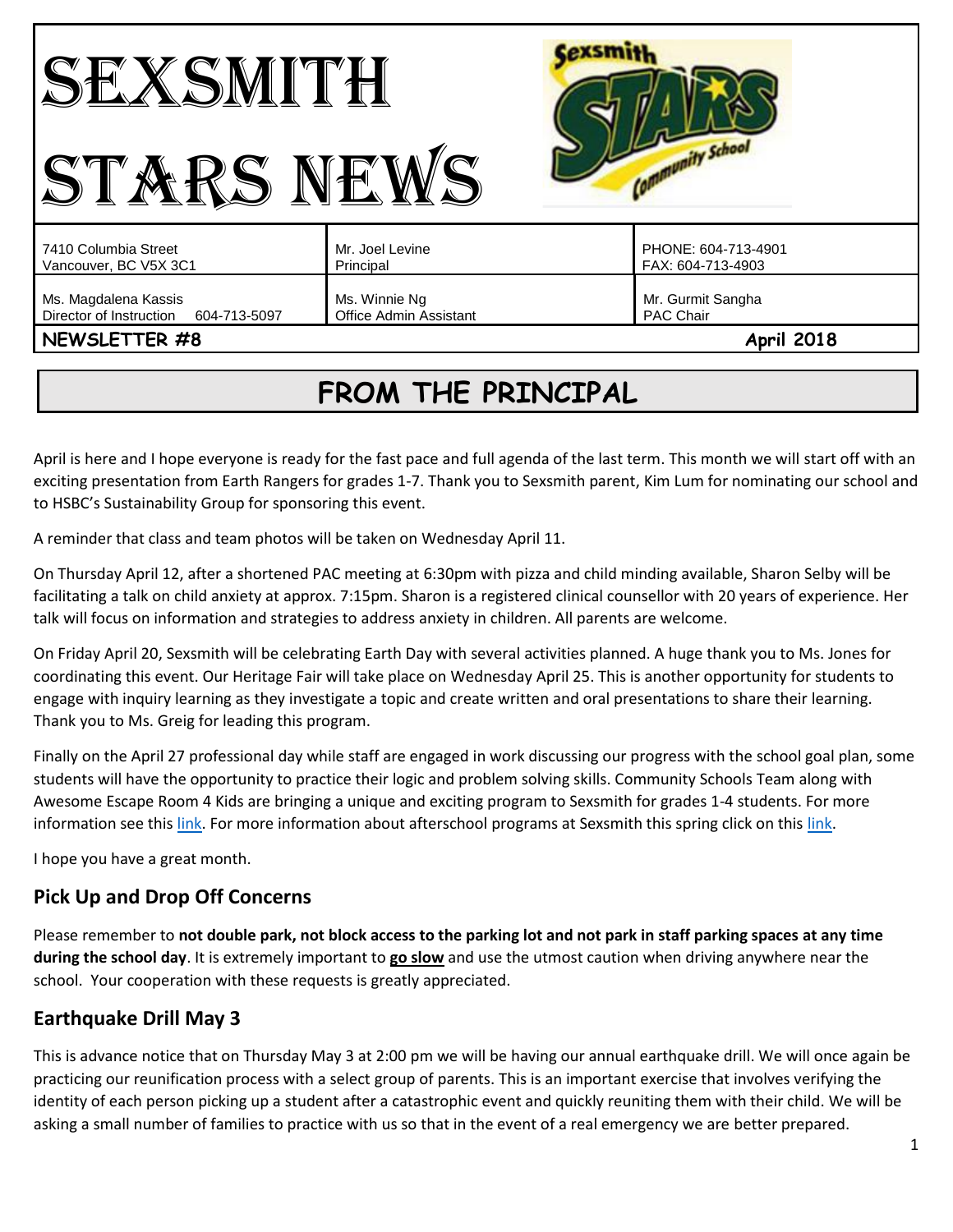| STARS NEV                                                                        | $\mathbf{1}$                            | <b>Antunity School</b>                              |
|----------------------------------------------------------------------------------|-----------------------------------------|-----------------------------------------------------|
| 7410 Columbia Street<br>Vancouver, BC V5X 3C1                                    | Mr. Joel Levine<br>Principal            | PHONE: 604-713-4901<br>FAX: 604-713-4903            |
| Ms. Magdalena Kassis<br>Director of Instruction<br>604-713-5097<br>NEWSLETTER #8 | Ms. Winnie Ng<br>Office Admin Assistant | Mr. Gurmit Sangha<br>PAC Chair<br><b>April 2018</b> |

# **FROM THE PRINCIPAL**

April is here and I hope everyone is ready for the fast pace and full agenda of the last term. This month we will start off with an exciting presentation from Earth Rangers for grades 1-7. Thank you to Sexsmith parent, Kim Lum for nominating our school and to HSBC's Sustainability Group for sponsoring this event.

A reminder that class and team photos will be taken on Wednesday April 11.

On Thursday April 12, after a shortened PAC meeting at 6:30pm with pizza and child minding available, Sharon Selby will be facilitating a talk on child anxiety at approx. 7:15pm. Sharon is a registered clinical counsellor with 20 years of experience. Her talk will focus on information and strategies to address anxiety in children. All parents are welcome.

On Friday April 20, Sexsmith will be celebrating Earth Day with several activities planned. A huge thank you to Ms. Jones for coordinating this event. Our Heritage Fair will take place on Wednesday April 25. This is another opportunity for students to engage with inquiry learning as they investigate a topic and create written and oral presentations to share their learning. Thank you to Ms. Greig for leading this program.

Finally on the April 27 professional day while staff are engaged in work discussing our progress with the school goal plan, some students will have the opportunity to practice their logic and problem solving skills. Community Schools Team along with Awesome Escape Room 4 Kids are bringing a unique and exciting program to Sexsmith for grades 1-4 students. For more information see thi[s link.](http://go.vsb.bc.ca/schools/sxs/Pages/AnnouncementDetails.aspx?announcementID=54) For more information about afterschool programs at Sexsmith this spring click on this link.

I hope you have a great month.

## **Pick Up and Drop Off Concerns**

Please remember to **not double park, not block access to the parking lot and not park in staff parking spaces at any time during the school day**. It is extremely important to **go slow** and use the utmost caution when driving anywhere near the school. Your cooperation with these requests is greatly appreciated.

## **Earthquake Drill May 3**

This is advance notice that on Thursday May 3 at 2:00 pm we will be having our annual earthquake drill. We will once again be practicing our reunification process with a select group of parents. This is an important exercise that involves verifying the identity of each person picking up a student after a catastrophic event and quickly reuniting them with their child. We will be asking a small number of families to practice with us so that in the event of a real emergency we are better prepared.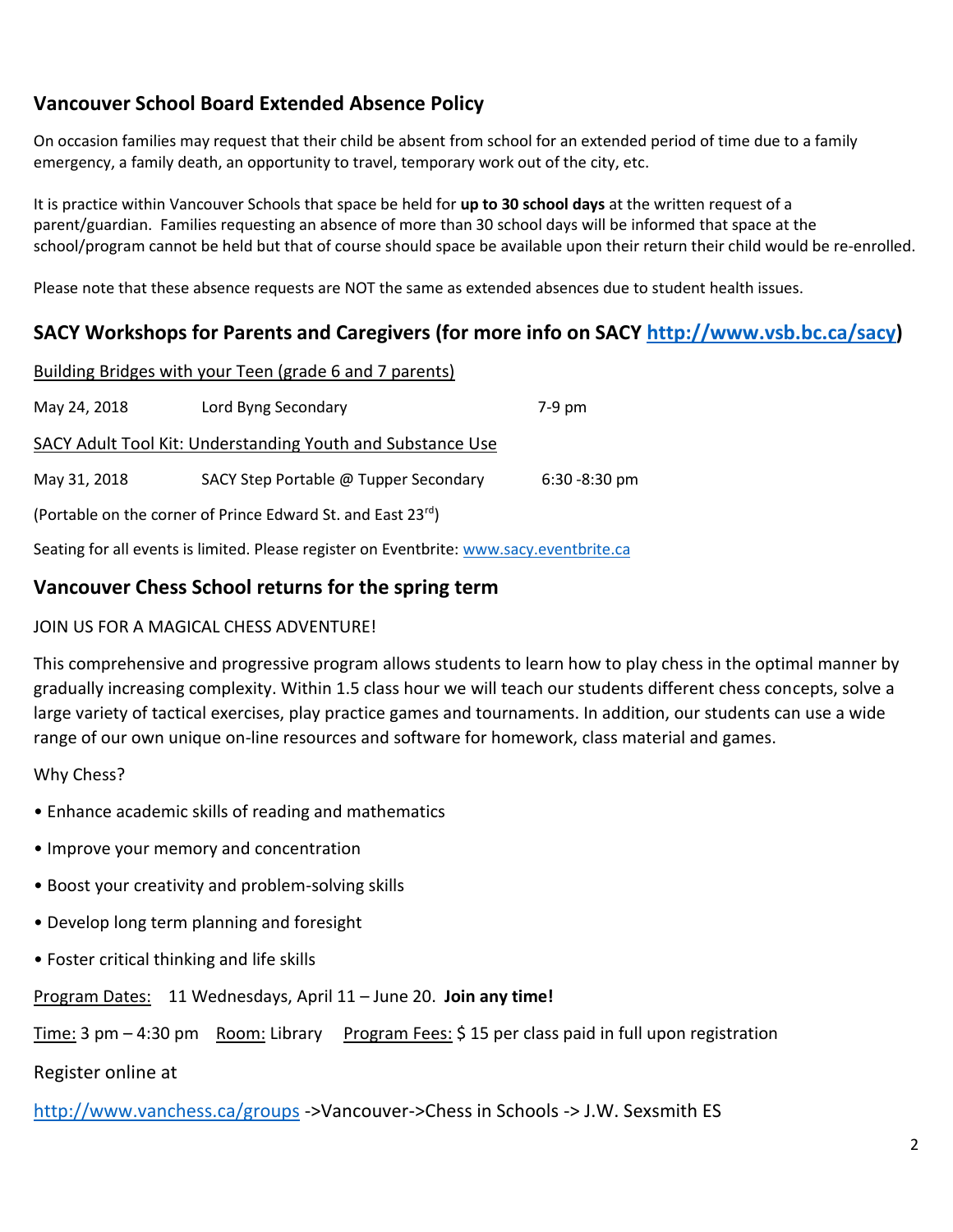# **Vancouver School Board Extended Absence Policy**

On occasion families may request that their child be absent from school for an extended period of time due to a family emergency, a family death, an opportunity to travel, temporary work out of the city, etc.

It is practice within Vancouver Schools that space be held for **up to 30 school days** at the written request of a parent/guardian. Families requesting an absence of more than 30 school days will be informed that space at the school/program cannot be held but that of course should space be available upon their return their child would be re-enrolled.

Please note that these absence requests are NOT the same as extended absences due to student health issues.

# **SACY Workshops for Parents and Caregivers (for more info on SACY [http://www.vsb.bc.ca/sacy\)](http://www.vsb.bc.ca/sacy)**

|              | Building Bridges with your Teen (grade 6 and 7 parents)     |                  |
|--------------|-------------------------------------------------------------|------------------|
| May 24, 2018 | Lord Byng Secondary                                         | 7-9 pm           |
|              | SACY Adult Tool Kit: Understanding Youth and Substance Use  |                  |
| May 31, 2018 | SACY Step Portable @ Tupper Secondary                       | $6:30 - 8:30$ pm |
|              | (Portable on the corner of Prince Edward St. and East 23rd) |                  |
|              |                                                             |                  |

Seating for all events is limited. Please register on Eventbrite: [www.sacy.eventbrite.ca](http://www.sacy.eventbrite.ca/)

## **Vancouver Chess School returns for the spring term**

#### JOIN US FOR A MAGICAL CHESS ADVENTURE!

This comprehensive and progressive program allows students to learn how to play chess in the optimal manner by gradually increasing complexity. Within 1.5 class hour we will teach our students different chess concepts, solve a large variety of tactical exercises, play practice games and tournaments. In addition, our students can use a wide range of our own unique on-line resources and software for homework, class material and games.

#### Why Chess?

- Enhance academic skills of reading and mathematics
- Improve your memory and concentration
- Boost your creativity and problem-solving skills
- Develop long term planning and foresight
- Foster critical thinking and life skills

Program Dates: 11 Wednesdays, April 11 – June 20. **Join any time!** 

Time: 3 pm  $-$  4:30 pm Room: Library Program Fees: \$15 per class paid in full upon registration

Register online at

<http://www.vanchess.ca/groups> ->Vancouver->Chess in Schools -> J.W. Sexsmith ES